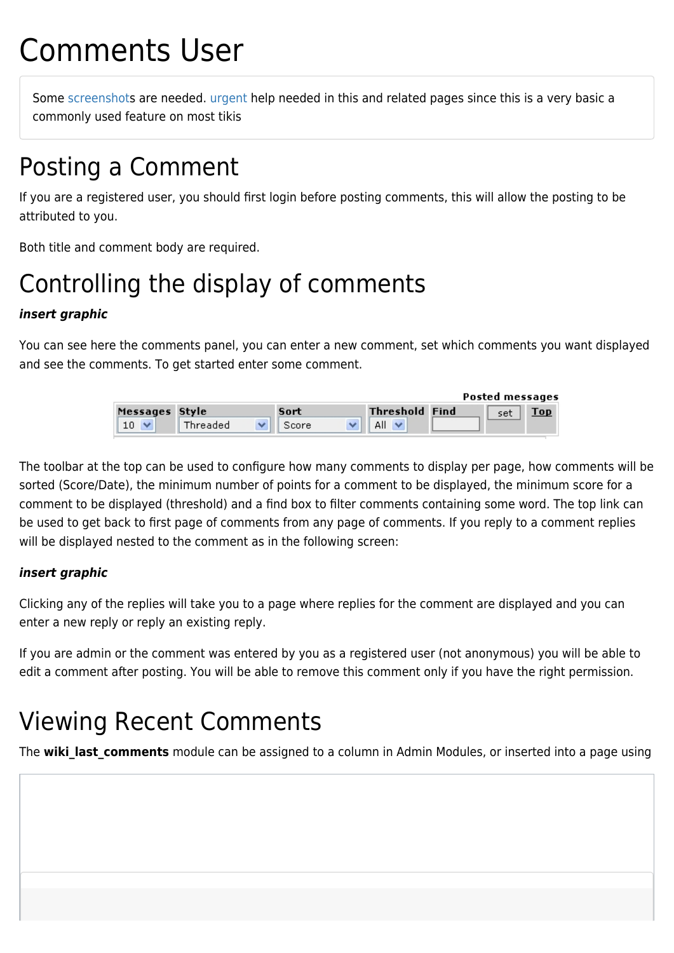# Comments User

Some [screenshots](https://doc.tiki.org/screenshot) are needed. [urgent](https://doc.tiki.org/urgent) help needed in this and related pages since this is a very basic a commonly used feature on most tikis

# Posting a Comment

If you are a registered user, you should first login before posting comments, this will allow the posting to be attributed to you.

Both title and comment body are required.

# Controlling the display of comments

### *insert graphic*

You can see here the comments panel, you can enter a new comment, set which comments you want displayed and see the comments. To get started enter some comment.

|                |          |       |                       | Posted messages |     |
|----------------|----------|-------|-----------------------|-----------------|-----|
| Messages Style |          | Sort  | <b>Threshold Find</b> | set             | Top |
|                | Threaded | Score |                       |                 |     |

The toolbar at the top can be used to configure how many comments to display per page, how comments will be sorted (Score/Date), the minimum number of points for a comment to be displayed, the minimum score for a comment to be displayed (threshold) and a find box to filter comments containing some word. The top link can be used to get back to first page of comments from any page of comments. If you reply to a comment replies will be displayed nested to the comment as in the following screen:

#### *insert graphic*

Clicking any of the replies will take you to a page where replies for the comment are displayed and you can enter a new reply or reply an existing reply.

If you are admin or the comment was entered by you as a registered user (not anonymous) you will be able to edit a comment after posting. You will be able to remove this comment only if you have the right permission.

# Viewing Recent Comments

The wiki last comments module can be assigned to a column in Admin Modules, or inserted into a page using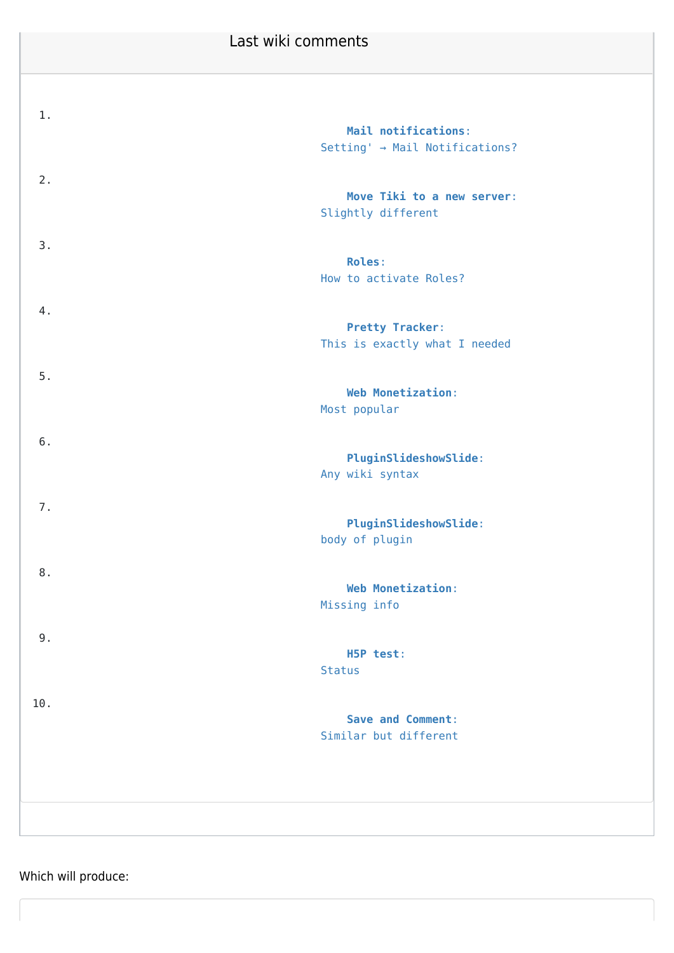### Last wiki comments

| 1.    | Mail notifications:<br>Setting' → Mail Notifications?   |
|-------|---------------------------------------------------------|
| 2.    | Move Tiki to a new server:<br>Slightly different        |
| 3.    | <b>Roles:</b><br>How to activate Roles?                 |
| 4.    | <b>Pretty Tracker:</b><br>This is exactly what I needed |
| 5.    | <b>Web Monetization:</b><br>Most popular                |
| 6.    | <b>PluginSlideshowSlide:</b><br>Any wiki syntax         |
| 7.    | <b>PluginSlideshowSlide:</b><br>body of plugin          |
| 8.    | Web Monetization:<br>Missing info                       |
| $9$ . | H5P test:<br><b>Status</b>                              |
| 10.   | <b>Save and Comment:</b><br>Similar but different       |
|       |                                                         |

Which will produce: